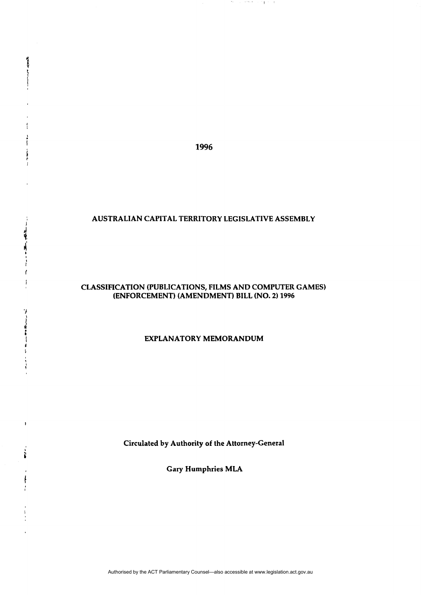**1996** 

**Algebra Action** 

 $\mathbf{1}$ ŀ Ī  $\frac{1}{2}$  $\mathbf{I}$ 

「一、不可 一 、 」 「 」 「 」 「 」

ť  $\mathbf{I}$ 

 $\boldsymbol{\gamma}$ 

 $\frac{1}{3}$ 

 $\mathbf{1}$ 

ì

 $\mathfrak{f}% _{0}$  $\cdot$ 

 $\sim$  1.

الأراباني ويورون

 $\sim$  1

### **AUSTRALIAN CAPITAL TERRITORY LEGISLATIVE ASSEMBLY**

## **CLASSIFICATION (PUBLICATIONS, FILMS AND COMPUTER GAMES) (ENFORCEMENT) (AMENDMENT) BILL (NO. 2) 1996**

# **EXPLANATORY MEMORANDUM**

**Circulated by Authority of the Attorney-General** 

**Gary Humphries MLA**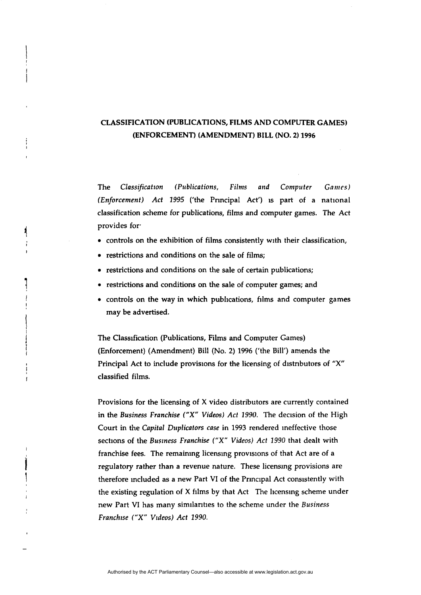# **CLASSIFICATION (PUBLICATIONS, FILMS** AND COMPUTER GAMES) **(ENFORCEMENT) (AMENDMENT) BILL (NO. 2) 1996**

The *Classification (Publications, Films and Computer Games) (Enforcement) Act 1995* ('the Pnncipal Act') is part of a national classification scheme for publications, films and computer games. The Act provides for

- controls on the exhibition of films consistently with their classification,
- restrictions and conditions on the sale of films;

 $\blacktriangleleft$ 

- restrictions and conditions on the sale of certain publications;
- restrictions and conditions on the sale of computer games; and
- controls on the way in which publications, films and computer games may be advertised.

The Classification (Publications, Films and Computer Games) (Enforcement) (Amendment) Bill (No. 2) 1996 ('the Bill') amends the Principal Act to include provisions for the licensing of distributors of "X" classified films.

Provisions for the licensing of X video distributors are currently contained in the Business *Franchise ("X" Videos) Act 1990.* The decision of the High Court in the *Capital Duplicators case* in 1993 rendered ineffective those sections of the *Business Franchise ("X" Videos) Act 1990* that dealt with franchise fees. The remaining licensing provisions of that Act are of a regulatory rather than a revenue nature. These licensing provisions are therefore included as a new Part VI of the Principal Act consistently with the existing regulation of X films by that Act The licensing scheme under new Part VI has many similarities to the scheme under the *Business Franchise ("X" Videos) Act 1990.*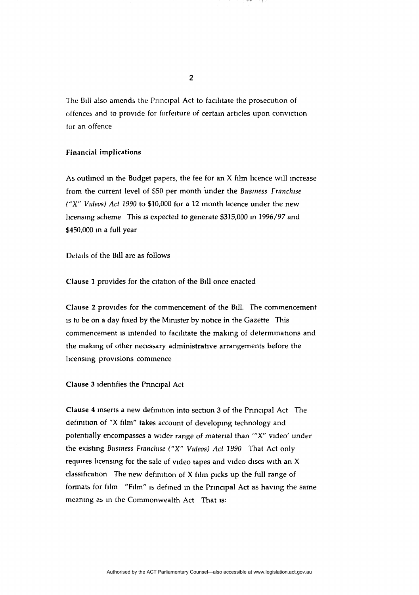The Bill also amends the Principal Act to facilitate the prosecution of offences and to provide for forfeiture of certain articles upon conviction for an offence

### **Financial implications**

As outlined in the Budget papers, the fee for an  $X$  film licence will increase from the current level of \$50 per month under the *Business Franchise ("X" Videos) Act 1990* to \$10,000 for a 12 month licence under the new licensing scheme This is expected to generate \$315,000 in 1996/97 and \$450,000 in a full year

Details of the Bill are as follows

**Clause 1** provides for the citation of the Bill once enacted

Clause 2 provides for the commencement of the Bill. The commencement is to be on a day fixed by the Minister by notice in the Gazette This commencement is intended to facilitate the making of determinations and the making of other necessary administrative arrangements before the licensing provisions commence

**Clause 3** identifies the Principal Act

Clause 4 inserts a new definition into section 3 of the Principal Act The definition of "X film" takes account of developing technology and potentially encompasses a wider range of material than '"X" video' under the existing *Business Franchise ("X" Videos) Act 1990* That Act only requires licensing for the sale of video tapes and video discs with an X classification The new definition of X film picks up the full range of formats for film "Film" is defined in the Principal Act as having the same meaning as in the Commonwealth Act That is: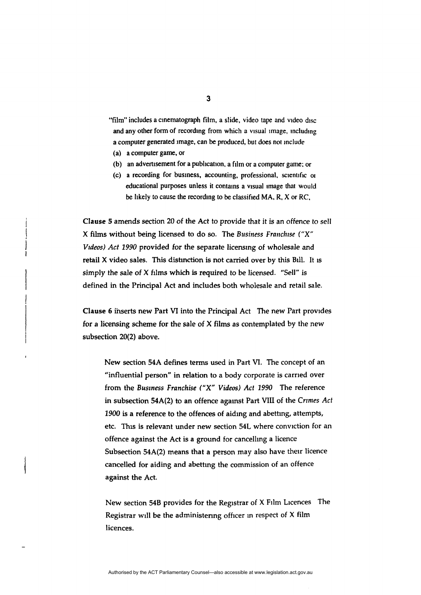- "film" includes a cinematograph film, a slide, video tape and video disc and any other form of recording from which a visual image, including a computer generated image, can be produced, but does not include
- (a) a computer game, or
- (b) an advertisement for a publication, a film or a computer game: or
- (c) a recording for business, accounting, professional, scientific 01 educational purposes unless it contains a visual image that would be likely to cause the recording to be classified MA, R, X or RC,

Clause 5 amends section 20 of the Act to provide that it is an offence to sell X films without being licensed to do so. The Business *Franchise ("X" Videos) Act 1990* provided for the separate licensing of wholesale and retail X video sales. This distinction is not carried over by this Bill. It is simply the sale of X films which is required to be licensed. "Sell" is defined in the Principal Act and includes both wholesale and retail sale.

Clause 6 inserts new Part VI into the Principal Act The new Part provides for a licensing scheme for the sale of X films as contemplated by the new subsection 20(2) above.

New section 54A defines terms used in Part VI. The concept of an "influential person" in relation to a body corporate is carried over from the *Business Franchise ("X" Videos) Act 1990* The reference in subsection 54A(2) to an offence against Part VIII of the *Crimes Act 1900* is a reference to the offences of aiding and abetting, attempts, etc. This is relevant under new section 54L where conviction for an offence against the Act is a ground for cancelling a licence Subsection 54A(2) means that a person may also have their licence cancelled for aiding and abettmg the commission of an offence against the Act.

New section 54B provides for the Registrar of X Film Licences The Registrar will be the administering officer in respect of X film licences.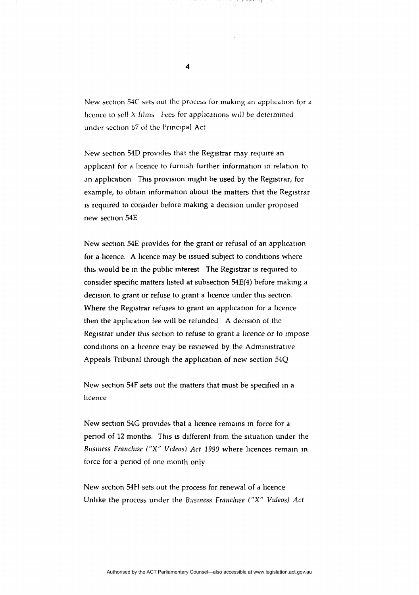New section 54C sets out the process for making an application for a licence to sell  $\lambda$  films Fees for applications will be determined under section 67 of the Principal Act

اللاستان والتطارف والمراد

New section 54D provides that the Registrar may require an applicant for a licence to furnish further information in relation to an application This provision might be used by the Registrar, for example, to obtain information about the matters that the Registrar is required to consider before making a decision under proposed new section 54E

New section 54E provides for the grant or refusal of an application for a licence. A licence may be issued subject to conditions where this would be in the public interest The Registrar is required to consider specific matters listed at subsection 54E(4) before making a decision to grant or refuse to grant a licence under this section. Where the Registrar refuses to grant an application for a licence then the application fee will be refunded A decision of the Registrar under this section to refuse to grant a licence or to impose conditions on a licence may be reviewed by the Administrative Appeals Tribunal through the application of new section 54Q

New section 54F sets out the matters that must be specified in a licence

New section 54G provides that a licence remains in force for a period of 12 months. This is different from the situation under the *Business Franchise ("X" Videos) Act 1990* where licences remain in force for a period of one month only

New section 54H sets out the process for renewal of a licence Unlike the process under the Business *Franchise ("X" Videos) Act*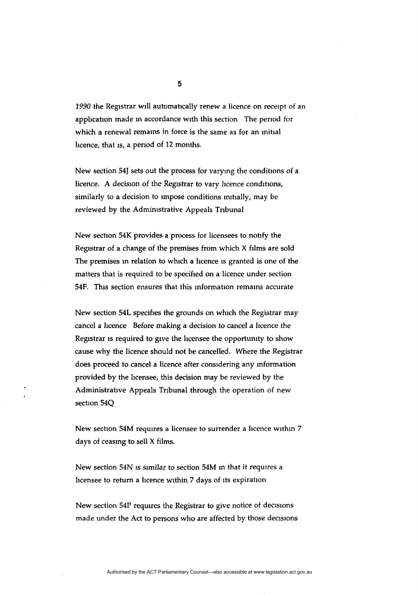2990 the Registrar will automatically renew a licence on receipt of an application made in accordance with this section The period for which a renewal remains in force is the same as for an initial licence, that is, a period of 12 months.

New section 54J sets out the process for varying the conditions of a licence. A decision of the Registrar to vary licence conditions, similarly to a decision to impose conditions initially, may be reviewed by the Administrative Appeals Tribunal

New section 54K provides a process for licensees to notify the Registrar of a change of the premises from which X films are sold The premises in relation to which a licence is granted is one of the matters that is required to be specified on a licence under section 54F. This section ensures that this information remains accurate

New section 54L specifies the grounds on which the Registrar may cancel a licence Before making a decision to cancel a licence the Registrar is required to give the licensee the opportunity to show cause why the licence should not be cancelled. Where the Registrar does proceed to cancel a licence after considering any information provided by the licensee, this decision may be reviewed by the Administrative Appeals Tribunal through the operation of new section 54Q

New section 54M requires a licensee to surrender a licence within 7 days of ceasing to sell X films.

New section 54N is similar to section 54M in that it requires a licensee to return a licence within 7 days of its expiration

New section 54P requires the Registrar to give notice of decisions made under the Act to persons who are affected by those decisions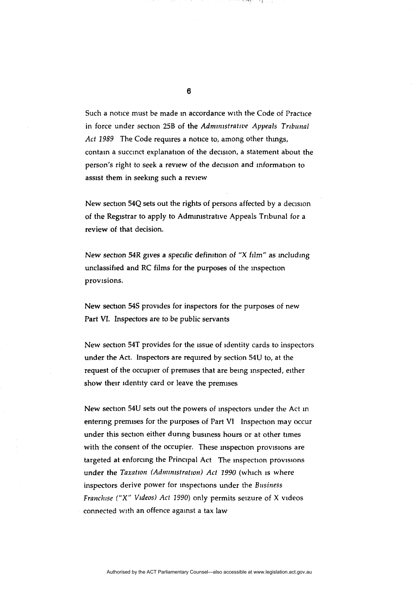Such a notice must be made in accordance with the Code of Practice in force under section 25B of the *Administrative Appeals Tribunal Act 1989* The Code requires a notice to, among other things, contain a succinct explanation of the decision, a statement about the person's right to seek a review of the decision and information to assist them in seeking such a review

New section 54Q sets out the rights of persons affected by a decision of the Registrar to apply to Administrative Appeals Tribunal for a review of that decision.

New section 54R gives a specific definition of "X film" as including unclassified and RC films for the purposes of the inspection provisions.

New section 54S provides for inspectors for the purposes of new Part VI. Inspectors are to be public servants

New section 54T provides for the issue of identity cards to inspectors under the Act. Inspectors are required by section 54U to, at the request of the occupier of premises that are being inspected, either show their identity card or leave the premises

New section 54U sets out the powers of inspectors under the Act in entering premises for the purposes of Part VI Inspection may occur under this section either during business hours or at other times with the consent of the occupier. These inspection provisions are targeted at enforcing the Principal Act The inspection provisions under the *Taxation (Administration) Act 1990* (which is where inspectors derive power for inspections under the Business *Franchise ("X" Videos) Act 1990)* only permits seizure of X videos connected with an offence against a tax law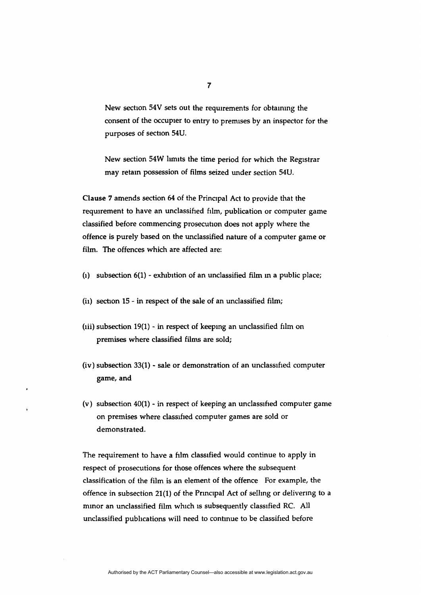New section 54V sets out the requirements for obtaining the consent of the occupier to entry to premises by an inspector for the purposes of section 54U.

New section 54W limits the time period for which the Registrar may retain possession of films seized under section 54U.

Clause 7 amends section 64 of the Principal Act to provide that the requirement to have an unclassified film, publication or computer game classified before commencing prosecution does not apply where the offence is purely based on the unclassified nature of a computer game or film. The offences which are affected are:

- (1) subsection  $6(1)$  exhibition of an unclassified film in a public place;
- (ii) section 15 in respect of the sale of an unclassified film;
- (iii) subsection  $19(1)$  in respect of keeping an unclassified film on premises where classified films are sold;
- (iv) subsection 33(1) sale or demonstration of an unclassified computer game, and
- (v) subsection 40(1) in respect of keeping an unclassified computer game on premises where classified computer games are sold or demonstrated.

The requirement to have a film classified would continue to apply in respect of prosecutions for those offences where the subsequent classification of the film is an element of the offence For example, the offence in subsection 21(1) of the Principal Act of selling or delivering to a minor an unclassified film which is subsequently classified RC. All unclassified publications will need to continue to be classified before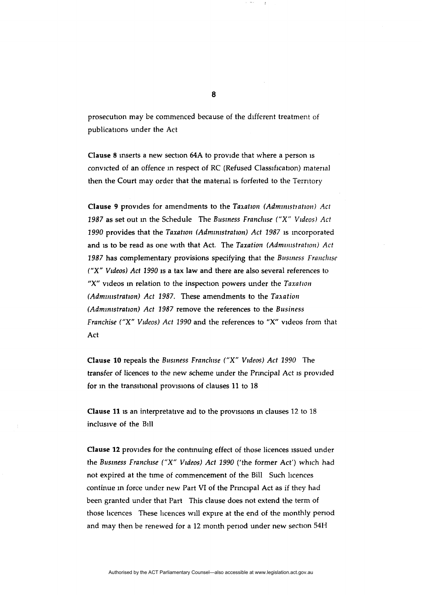prosecution may be commenced because of the different treatment of publications under the Act

Clause 8 inserts a new section 64A to provide that where a person is convicted of an offence in respect of RC (Refused Classification) material then the Court may order that the material is forfeited to the Territory

Clause 9 provides for amendments to the *Taxation (Administration) Act 1987* as set out in the Schedule The *Business Franchise ("X" Videos) Act 1990* provides that the *Taxation (Administration) Act 1987* is incorporated and is to be read as one with that Act. The *Taxation (Administration) Act 1987* has complementary provisions specifying that the *Business Franchise ("X" Videos) Act 1990* is a tax law and there are also several references to "X" videos in relation to the inspection powers under the *Taxation (Administration) Act 1987.* These amendments to the *Taxation (Administration) Act 1987* remove the references to the *Business Franchise ("X" Videos) Act 1990* and the references to "X" videos from that Act

Clause 10 repeals the *Business Franchise ("X" Videos) Act 1990* The transfer of licences to the new scheme under the Principal Act is provided for in the transitional provisions of clauses 11 to 18

Clause 11 is an interpretative aid to the provisions in clauses 12 to 18 inclusive of the Bill

Clause 12 provides for the continuing effect of those licences issued under the *Business Franchise ("X" Videos) Act 1990* ('the former Act') which had not expired at the time of commencement of the Bill Such licences continue in force under new Part VI of the Principal Act as if they had been granted under that Part This clause does not extend the term of those licences These licences will expire at the end of the monthly period and may then be renewed for a 12 month period under new section 54H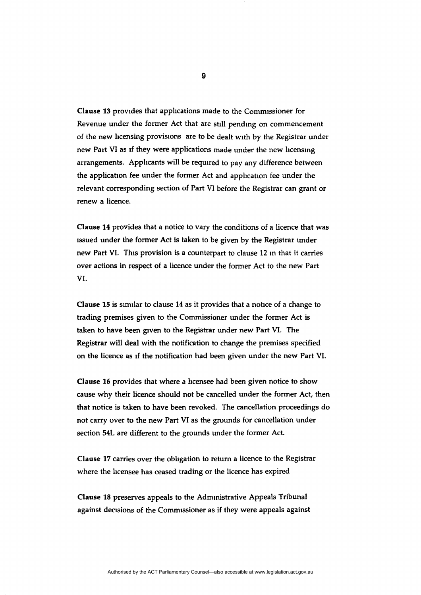Clause 13 provides that applications made to the Commissioner for Revenue under the former Act that are still pending on commencement of the new licensing provisions are to be dealt with by the Registrar under new Part VI as if they were applications made under the new licensing arrangements. Applicants will be required to pay any difference between the application fee under the former Act and application fee under the relevant corresponding section of Part VI before the Registrar can grant or renew a licence.

**Clause** 14 provides that a notice to vary the conditions of a licence that was issued under the former Act is taken to be given by the Registrar under new Part VI. This provision is a counterpart to clause 12 m that it carries over actions in respect of a licence under the former Act to the new Part VI.

**Clause 15** is similar to clause 14 as it provides that a notice of a change to trading premises given to the Commissioner under the former Act is taken to have been given to the Registrar under new Part VI. The Registrar will deal with the notification to change the premises specified on the licence as if the notification had been given under the new Part VI.

**Clause 16** provides that where a licensee had been given notice to show cause why their licence should not be cancelled under the former Act, then that notice is taken to have been revoked. The cancellation proceedings do not carry over to the new Part VI as the grounds for cancellation under section 54L are different to the grounds under the former Act.

Clause 17 carries over the obligation to return a licence to the Registrar where the licensee has ceased trading or the licence has expired

**Clause 18** preserves appeals to the Administrative Appeals Tribunal against decisions of the Commissioner as if they were appeals against